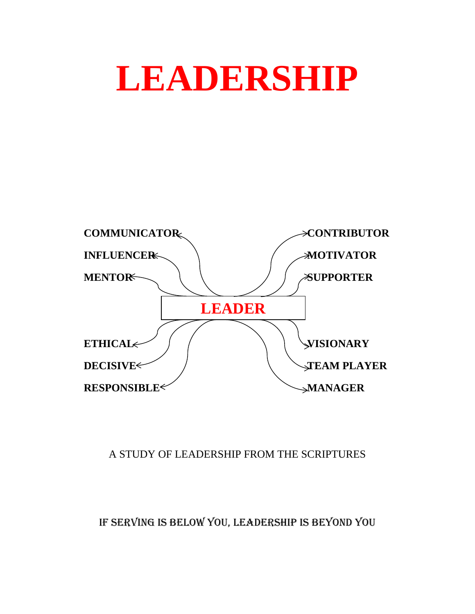# **LEADERSHIP**



# A STUDY OF LEADERSHIP FROM THE SCRIPTURES

# IF SERVING IS BELOW YOU, LEADERSHIP IS BEYOND YOU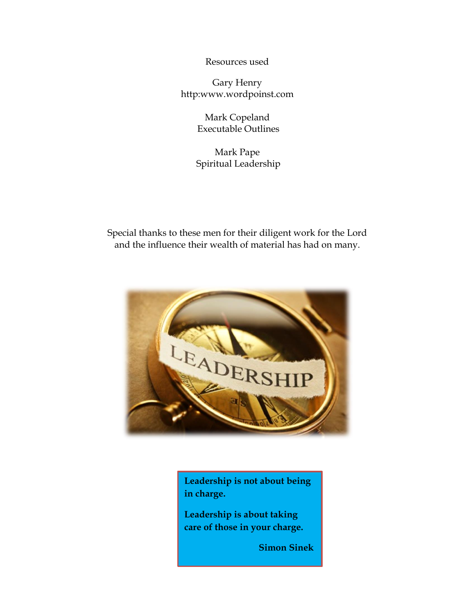Resources used

Gary Henry http:www.wordpoinst.com

> Mark Copeland Executable Outlines

Mark Pape Spiritual Leadership

Special thanks to these men for their diligent work for the Lord and the influence their wealth of material has had on many.



**Leadership is not about being in charge.**

**Leadership is about taking care of those in your charge.**

 **Simon Sinek**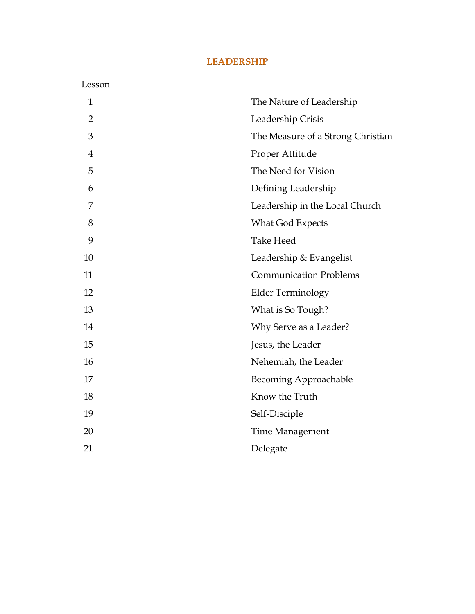# **LEADERSHIP**

| Lesson         |                                   |
|----------------|-----------------------------------|
| $\mathbf{1}$   | The Nature of Leadership          |
| $\overline{2}$ | Leadership Crisis                 |
| 3              | The Measure of a Strong Christian |
| $\overline{4}$ | Proper Attitude                   |
| 5              | The Need for Vision               |
| 6              | Defining Leadership               |
| 7              | Leadership in the Local Church    |
| 8              | <b>What God Expects</b>           |
| 9              | <b>Take Heed</b>                  |
| 10             | Leadership & Evangelist           |
| 11             | <b>Communication Problems</b>     |
| 12             | Elder Terminology                 |
| 13             | What is So Tough?                 |
| 14             | Why Serve as a Leader?            |
| 15             | Jesus, the Leader                 |
| 16             | Nehemiah, the Leader              |
| 17             | <b>Becoming Approachable</b>      |
| 18             | Know the Truth                    |
| 19             | Self-Disciple                     |
| 20             | Time Management                   |
| 21             | Delegate                          |
|                |                                   |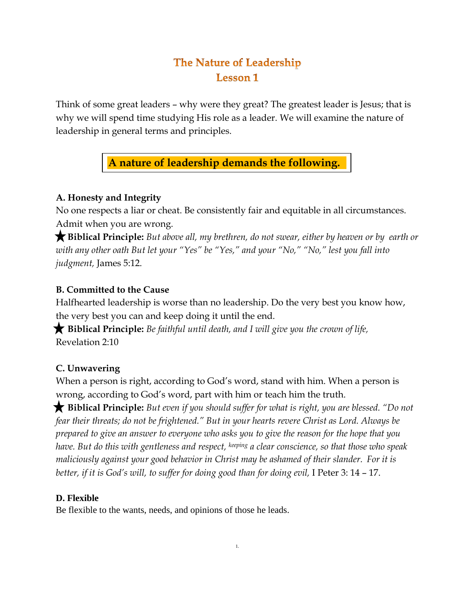# The Nature of Leadership **Lesson 1**

Think of some great leaders – why were they great? The greatest leader is Jesus; that is why we will spend time studying His role as a leader. We will examine the nature of leadership in general terms and principles.

**A nature of leadership demands the following.**

## **A. Honesty and Integrity**

No one respects a liar or cheat. Be consistently fair and equitable in all circumstances. Admit when you are wrong.

 **Biblical Principle:** *But above all, my brethren, do not swear, either by heaven or by earth or with any other oath But let your "Yes" be "Yes," and your "No," "No," lest you fall into judgment,* James 5:12.

## **B. Committed to the Cause**

Halfhearted leadership is worse than no leadership. Do the very best you know how, the very best you can and keep doing it until the end.

 **Biblical Principle:** *Be faithful until death, and I will give you the crown of life,* Revelation 2:10

# **C. Unwavering**

When a person is right, according to God's word, stand with him. When a person is wrong, according to God's word, part with him or teach him the truth.

 **Biblical Principle:** *But even if you should suffer for what is right, you are blessed. "Do not fear their threats; do not be frightened." But in your hearts revere Christ as Lord. Always be prepared to give an answer to everyone who asks you to give the reason for the hope that you have. But do this with gentleness and respect, keeping a clear conscience, so that those who speak maliciously against your good behavior in Christ may be ashamed of their slander. For it is better, if it is God's will, to suffer for doing good than for doing evil,* I Peter 3: 14 – 17.

## **D. Flexible**

Be flexible to the wants, needs, and opinions of those he leads.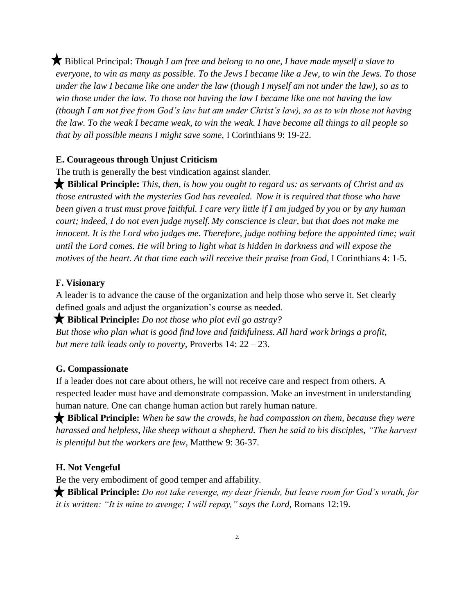Biblical Principal: *Though I am free and belong to no one, I have made myself a slave to everyone, to win as many as possible. To the Jews I became like a Jew, to win the Jews. To those under the law I became like one under the law (though I myself am not under the law), so as to win those under the law. To those not having the law I became like one not having the law (though I am not free from God's law but am under Christ's law), so as to win those not having the law. To the weak I became weak, to win the weak. I have become all things to all people so that by all possible means I might save some,* I Corinthians 9: 19-22.

#### **E. Courageous through Unjust Criticism**

The truth is generally the best vindication against slander.

 **Biblical Principle:** *This, then, is how you ought to regard us: as servants of Christ and as those entrusted with the mysteries God has revealed. Now it is required that those who have been given a trust must prove faithful. I care very little if I am judged by you or by any human court; indeed, I do not even judge myself. My conscience is clear, but that does not make me innocent. It is the Lord who judges me. Therefore, judge nothing before the appointed time; wait until the Lord comes. He will bring to light what is hidden in darkness and will expose the motives of the heart. At that time each will receive their praise from God,* I Corinthians 4: 1-5.

#### **F. Visionary**

A leader is to advance the cause of the organization and help those who serve it. Set clearly defined goals and adjust the organization's course as needed.

 **Biblical Principle:** *Do not those who plot evil go astray?*

*But those who plan what is good find love and faithfulness. All hard work brings a profit, but mere talk leads only to poverty,* Proverbs 14: 22 – 23.

#### **G. Compassionate**

If a leader does not care about others, he will not receive care and respect from others. A respected leader must have and demonstrate compassion. Make an investment in understanding human nature. One can change human action but rarely human nature.

 **Biblical Principle:** *When he saw the crowds, he had compassion on them, because they were harassed and helpless, like sheep without a shepherd. Then he said to his disciples, "The harvest is plentiful but the workers are few,* Matthew 9: 36-37.

#### **H. Not Vengeful**

Be the very embodiment of good temper and affability.

 **Biblical Principle:** *Do not take revenge, my dear friends, but leave room for God's wrath, for it is written: "It is mine to avenge; I will repay," says the Lord,* Romans 12:19.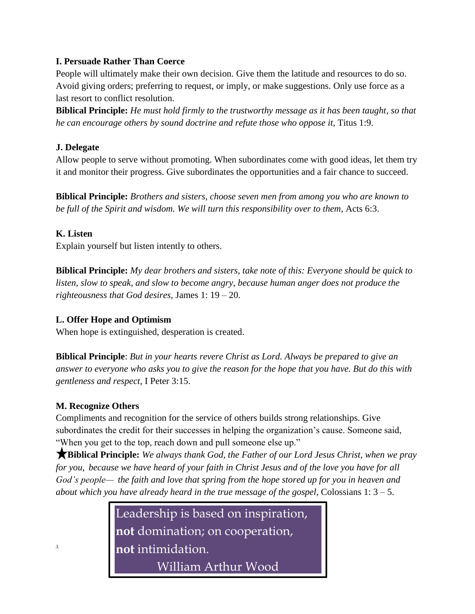## **I. Persuade Rather Than Coerce**

People will ultimately make their own decision. Give them the latitude and resources to do so. Avoid giving orders; preferring to request, or imply, or make suggestions. Only use force as a last resort to conflict resolution.

**Biblical Principle:** *He must hold firmly to the trustworthy message as it has been taught, so that he can encourage others by sound doctrine and refute those who oppose it,* Titus 1:9.

## **J. Delegate**

Allow people to serve without promoting. When subordinates come with good ideas, let them try it and monitor their progress. Give subordinates the opportunities and a fair chance to succeed.

**Biblical Principle:** *Brothers and sisters, choose seven men from among you who are known to be full of the Spirit and wisdom. We will turn this responsibility over to them,* Acts 6:3.

#### **K. Listen**

Explain yourself but listen intently to others.

**Biblical Principle:** *My dear brothers and sisters, take note of this: Everyone should be quick to listen, slow to speak, and slow to become angry, because human anger does not produce the righteousness that God desires,* James 1: 19 – 20.

## **L. Offer Hope and Optimism**

When hope is extinguished, desperation is created.

**Biblical Principle**: *But in your hearts revere Christ as Lord. Always be prepared to give an answer to everyone who asks you to give the reason for the hope that you have. But do this with gentleness and respect,* I Peter 3:15.

## **M. Recognize Others**

*3.*

Compliments and recognition for the service of others builds strong relationships. Give subordinates the credit for their successes in helping the organization's cause. Someone said, "When you get to the top, reach down and pull someone else up."

 **Biblical Principle:** *We always thank God, the Father of our Lord Jesus Christ, when we pray for you, because we have heard of your faith in Christ Jesus and of the love you have for all God's people— the faith and love that spring from the hope stored up for you in heaven and about which you have already heard in the true message of the gospel,* Colossians 1: 3 – 5.

> Leadership is based on inspiration, **not** domination; on cooperation, **not** intimidation.

William Arthur Wood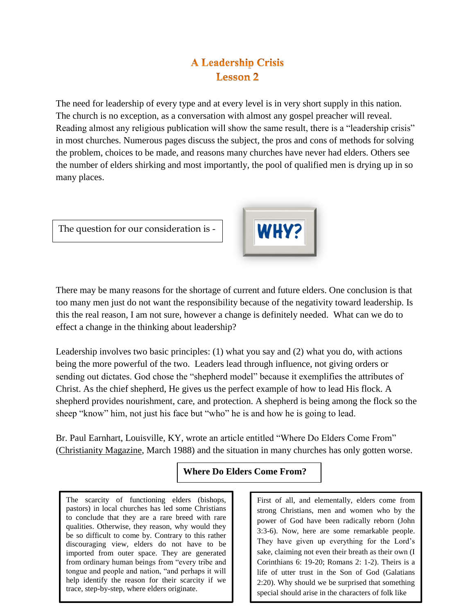# **A Leadership Crisis Lesson 2**

The need for leadership of every type and at every level is in very short supply in this nation. The church is no exception, as a conversation with almost any gospel preacher will reveal. Reading almost any religious publication will show the same result, there is a "leadership crisis" in most churches. Numerous pages discuss the subject, the pros and cons of methods for solving the problem, choices to be made, and reasons many churches have never had elders. Others see the number of elders shirking and most importantly, the pool of qualified men is drying up in so many places.

The question for our consideration is -



There may be many reasons for the shortage of current and future elders. One conclusion is that too many men just do not want the responsibility because of the negativity toward leadership. Is this the real reason, I am not sure, however a change is definitely needed. What can we do to effect a change in the thinking about leadership?

Leadership involves two basic principles: (1) what you say and (2) what you do, with actions being the more powerful of the two. Leaders lead through influence, not giving orders or sending out dictates. God chose the "shepherd model" because it exemplifies the attributes of Christ. As the chief shepherd, He gives us the perfect example of how to lead His flock. A shepherd provides nourishment, care, and protection. A shepherd is being among the flock so the sheep "know" him, not just his face but "who" he is and how he is going to lead.

Br. Paul Earnhart, Louisville, KY, wrote an article entitled "Where Do Elders Come From" (Christianity Magazine, March 1988) and the situation in many churches has only gotten worse.

## **Where Do Elders Come From?**

The scarcity of functioning elders (bishops, pastors) in local churches has led some Christians to conclude that they are a rare breed with rare qualities. Otherwise, they reason, why would they be so difficult to come by. Contrary to this rather discouraging view, elders do not have to be imported from outer space. They are generated from ordinary human beings from "every tribe and tongue and people and nation, "and perhaps it will help identify the reason for their scarcity if we trace, step-by-step, where elders originate. l

First of all, and elementally, elders come from strong Christians, men and women who by the power of God have been radically reborn (John 3:3-6). Now, here are some remarkable people. They have given up everything for the Lord's sake, claiming not even their breath as their own (I Corinthians 6: 19-20; Romans 2: 1-2). Theirs is a life of utter trust in the Son of God (Galatians 2:20). Why should we be surprised that something special should arise in the characters of folk like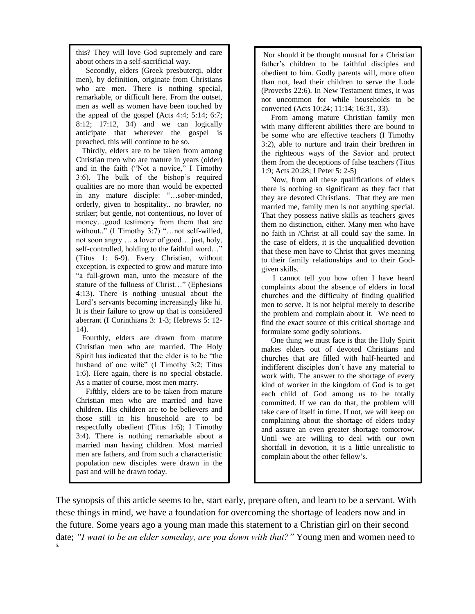this? They will love God supremely and care about others in a self-sacrificial way.

 Secondly, elders (Greek presbuterqi, older men), by definition, originate from Christians who are men. There is nothing special, remarkable, or difficult here. From the outset, men as well as women have been touched by the appeal of the gospel (Acts 4:4; 5:14; 6:7; 8:12; 17:12, 34) and we can logically anticipate that wherever the gospel is preached, this will continue to be so.

 Thirdly, elders are to be taken from among Christian men who are mature in years (older) and in the faith ("Not a novice," I Timothy 3:6). The bulk of the bishop's required qualities are no more than would be expected in any mature disciple: "…sober-minded, orderly, given to hospitality.. no brawler, no striker; but gentle, not contentious, no lover of money…good testimony from them that are without.." (I Timothy 3:7) "...not self-willed, not soon angry … a lover of good… just, holy, self-controlled, holding to the faithful word…" (Titus 1: 6-9). Every Christian, without exception, is expected to grow and mature into "a full-grown man, unto the measure of the stature of the fullness of Christ…" (Ephesians 4:13). There is nothing unusual about the Lord's servants becoming increasingly like hi. It is their failure to grow up that is considered aberrant (I Corinthians 3: 1-3; Hebrews 5: 12- 14).

 Fourthly, elders are drawn from mature Christian men who are married. The Holy Spirit has indicated that the elder is to be "the husband of one wife" (I Timothy 3:2; Titus 1:6). Here again, there is no special obstacle. As a matter of course, most men marry.

 Fifthly, elders are to be taken from mature Christian men who are married and have children. His children are to be believers and those still in his household are to be respectfully obedient (Titus 1:6); I Timothy 3:4). There is nothing remarkable about a married man having children. Most married men are fathers, and from such a characteristic population new disciples were drawn in the past and will be drawn today.

Nor should it be thought unusual for a Christian father's children to be faithful disciples and obedient to him. Godly parents will, more often than not, lead their children to serve the Lode (Proverbs 22:6). In New Testament times, it was not uncommon for while households to be converted (Acts 10:24; 11:14; 16:31, 33).

 From among mature Christian family men with many different abilities there are bound to be some who are effective teachers (I Timothy 3:2), able to nurture and train their brethren in the righteous ways of the Savior and protect them from the deceptions of false teachers (Titus 1:9; Acts 20:28; I Peter 5: 2-5)

 Now, from all these qualifications of elders there is nothing so significant as they fact that they are devoted Christians. That they are men married me, family men is not anything special. That they possess native skills as teachers gives them no distinction, either. Many men who have no faith in /Christ at all could say the same. In the case of elders, it is the unqualified devotion that these men have to Christ that gives meaning to their family relationships and to their Godgiven skills.

 I cannot tell you how often I have heard complaints about the absence of elders in local churches and the difficulty of finding qualified men to serve. It is not helpful merely to describe the problem and complain about it. We need to find the exact source of this critical shortage and formulate some godly solutions.

 One thing we must face is that the Holy Spirit makes elders out of devoted Christians and churches that are filled with half-hearted and indifferent disciples don't have any material to work with. The answer to the shortage of every kind of worker in the kingdom of God is to get each child of God among us to be totally committed. If we can do that, the problem will take care of itself in time. If not, we will keep on complaining about the shortage of elders today and assure an even greater shortage tomorrow. Until we are willing to deal with our own shortfall in devotion, it is a little unrealistic to complain about the other fellow's.

The synopsis of this article seems to be, start early, prepare often, and learn to be a servant. With these things in mind, we have a foundation for overcoming the shortage of leaders now and in the future. Some years ago a young man made this statement to a Christian girl on their second date; *"I want to be an elder someday, are you down with that?"* Young men and women need to *5.*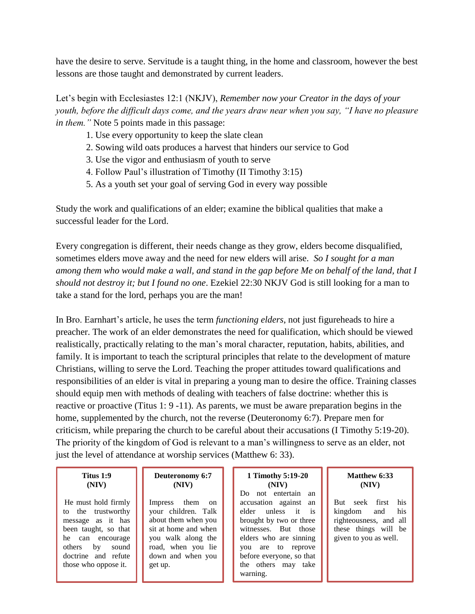have the desire to serve. Servitude is a taught thing, in the home and classroom, however the best lessons are those taught and demonstrated by current leaders.

Let's begin with Ecclesiastes 12:1 (NKJV), *Remember now your Creator in the days of your youth, before the difficult days come, and the years draw near when you say, "I have no pleasure in them."* Note 5 points made in this passage:

- 1. Use every opportunity to keep the slate clean
- 2. Sowing wild oats produces a harvest that hinders our service to God
- 3. Use the vigor and enthusiasm of youth to serve
- 4. Follow Paul's illustration of Timothy (II Timothy 3:15)
- 5. As a youth set your goal of serving God in every way possible

Study the work and qualifications of an elder; examine the biblical qualities that make a successful leader for the Lord.

Every congregation is different, their needs change as they grow, elders become disqualified, sometimes elders move away and the need for new elders will arise. *So I sought for a man among them who would make a wall, and stand in the gap before Me on behalf of the land, that I should not destroy it; but I found no one*. Ezekiel 22:30 NKJV God is still looking for a man to take a stand for the lord, perhaps you are the man!

In Bro. Earnhart's article, he uses the term *functioning elders*, not just figureheads to hire a preacher. The work of an elder demonstrates the need for qualification, which should be viewed realistically, practically relating to the man's moral character, reputation, habits, abilities, and family. It is important to teach the scriptural principles that relate to the development of mature Christians, willing to serve the Lord. Teaching the proper attitudes toward qualifications and responsibilities of an elder is vital in preparing a young man to desire the office. Training classes should equip men with methods of dealing with teachers of false doctrine: whether this is reactive or proactive (Titus 1: 9 -11). As parents, we must be aware preparation begins in the home, supplemented by the church, not the reverse (Deuteronomy 6:7). Prepare men for criticism, while preparing the church to be careful about their accusations (I Timothy 5:19-20). The priority of the kingdom of God is relevant to a man's willingness to serve as an elder, not just the level of attendance at worship services (Matthew 6: 33).

#### **Titus 1:9 (NIV)**

He must hold firmly to the trustworthy message as it has been taught, so that he can encourage others by sound doctrine and refute those who oppose it.

#### **Deuteronomy 6:7 (NIV)**

Impress them on your children. Talk about them when you sit at home and when you walk along the road, when you lie down and when you get up.

#### **1 Timothy 5:19-20 (NIV)**

Do not entertain an accusation against an elder unless it is brought by two or three witnesses. But those elders who are sinning you are to reprove before everyone, so that the others may take warning.

#### **Matthew 6:33 (NIV)**

But seek first his kingdom and his righteousness, and all these things will be given to you as well.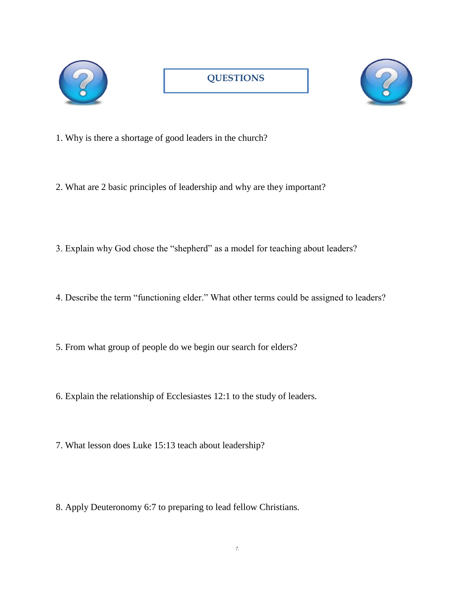



- 1. Why is there a shortage of good leaders in the church?
- 2. What are 2 basic principles of leadership and why are they important?
- 3. Explain why God chose the "shepherd" as a model for teaching about leaders?
- 4. Describe the term "functioning elder." What other terms could be assigned to leaders?
- 5. From what group of people do we begin our search for elders?
- 6. Explain the relationship of Ecclesiastes 12:1 to the study of leaders.
- 7. What lesson does Luke 15:13 teach about leadership?
- 8. Apply Deuteronomy 6:7 to preparing to lead fellow Christians.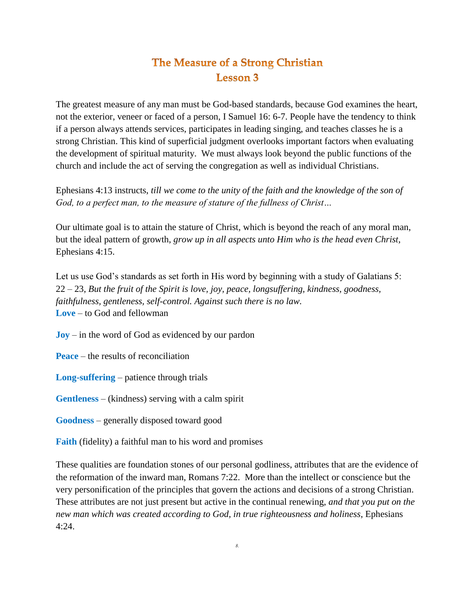# The Measure of a Strong Christian **Lesson 3**

The greatest measure of any man must be God-based standards, because God examines the heart, not the exterior, veneer or faced of a person, I Samuel 16: 6-7. People have the tendency to think if a person always attends services, participates in leading singing, and teaches classes he is a strong Christian. This kind of superficial judgment overlooks important factors when evaluating the development of spiritual maturity. We must always look beyond the public functions of the church and include the act of serving the congregation as well as individual Christians.

Ephesians 4:13 instructs, *till we come to the unity of the faith and the knowledge of the son of God, to a perfect man, to the measure of stature of the fullness of Christ…*

Our ultimate goal is to attain the stature of Christ, which is beyond the reach of any moral man, but the ideal pattern of growth, *grow up in all aspects unto Him who is the head even Christ,*  Ephesians 4:15.

Let us use God's standards as set forth in His word by beginning with a study of Galatians 5: 22 – 23, *But the fruit of the Spirit is love, joy, peace, longsuffering, kindness, goodness, faithfulness, gentleness, self-control. Against such there is no law.* **Love** – to God and fellowman

**Joy** – in the word of God as evidenced by our pardon

**Peace** – the results of reconciliation

**Long-suffering** – patience through trials

**Gentleness** – (kindness) serving with a calm spirit

**Goodness** – generally disposed toward good

**Faith** (fidelity) a faithful man to his word and promises

These qualities are foundation stones of our personal godliness, attributes that are the evidence of the reformation of the inward man, Romans 7:22. More than the intellect or conscience but the very personification of the principles that govern the actions and decisions of a strong Christian. These attributes are not just present but active in the continual renewing, *and that you put on the new man which was created according to God, in true righteousness and holiness*, Ephesians  $4:24$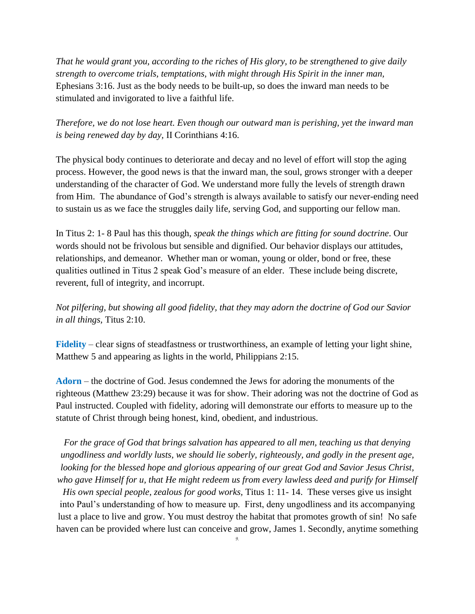*That he would grant you, according to the riches of His glory, to be strengthened to give daily strength to overcome trials, temptations, with might through His Spirit in the inner man,* Ephesians 3:16. Just as the body needs to be built-up, so does the inward man needs to be stimulated and invigorated to live a faithful life.

*Therefore, we do not lose heart. Even though our outward man is perishing, yet the inward man is being renewed day by day,* II Corinthians 4:16.

The physical body continues to deteriorate and decay and no level of effort will stop the aging process. However, the good news is that the inward man, the soul, grows stronger with a deeper understanding of the character of God. We understand more fully the levels of strength drawn from Him. The abundance of God's strength is always available to satisfy our never-ending need to sustain us as we face the struggles daily life, serving God, and supporting our fellow man.

In Titus 2: 1- 8 Paul has this though, *speak the things which are fitting for sound doctrine*. Our words should not be frivolous but sensible and dignified. Our behavior displays our attitudes, relationships, and demeanor. Whether man or woman, young or older, bond or free, these qualities outlined in Titus 2 speak God's measure of an elder. These include being discrete, reverent, full of integrity, and incorrupt.

*Not pilfering, but showing all good fidelity, that they may adorn the doctrine of God our Savior in all things,* Titus 2:10.

**Fidelity** – clear signs of steadfastness or trustworthiness, an example of letting your light shine, Matthew 5 and appearing as lights in the world, Philippians 2:15.

**Adorn** – the doctrine of God. Jesus condemned the Jews for adoring the monuments of the righteous (Matthew 23:29) because it was for show. Their adoring was not the doctrine of God as Paul instructed. Coupled with fidelity, adoring will demonstrate our efforts to measure up to the statute of Christ through being honest, kind, obedient, and industrious.

*For the grace of God that brings salvation has appeared to all men, teaching us that denying ungodliness and worldly lusts, we should lie soberly, righteously, and godly in the present age, looking for the blessed hope and glorious appearing of our great God and Savior Jesus Christ, who gave Himself for u, that He might redeem us from every lawless deed and purify for Himself* 

*His own special people, zealous for good works,* Titus 1: 11- 14. These verses give us insight into Paul's understanding of how to measure up. First, deny ungodliness and its accompanying lust a place to live and grow. You must destroy the habitat that promotes growth of sin! No safe haven can be provided where lust can conceive and grow, James 1. Secondly, anytime something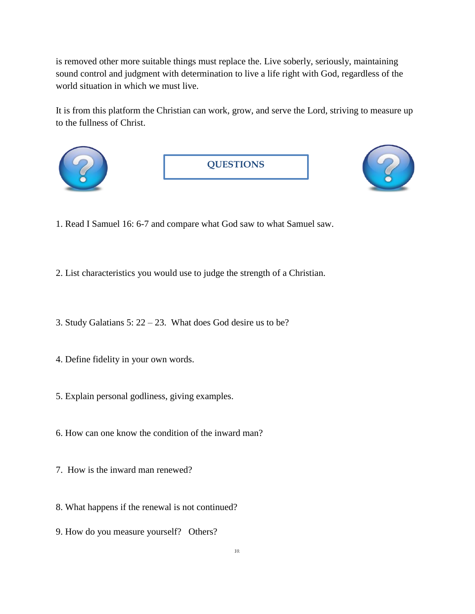is removed other more suitable things must replace the. Live soberly, seriously, maintaining sound control and judgment with determination to live a life right with God, regardless of the world situation in which we must live.

It is from this platform the Christian can work, grow, and serve the Lord, striving to measure up to the fullness of Christ.



- 1. Read I Samuel 16: 6-7 and compare what God saw to what Samuel saw.
- 2. List characteristics you would use to judge the strength of a Christian.
- 3. Study Galatians 5: 22 23. What does God desire us to be?
- 4. Define fidelity in your own words.
- 5. Explain personal godliness, giving examples.
- 6. How can one know the condition of the inward man?
- 7. How is the inward man renewed?
- 8. What happens if the renewal is not continued?
- 9. How do you measure yourself? Others?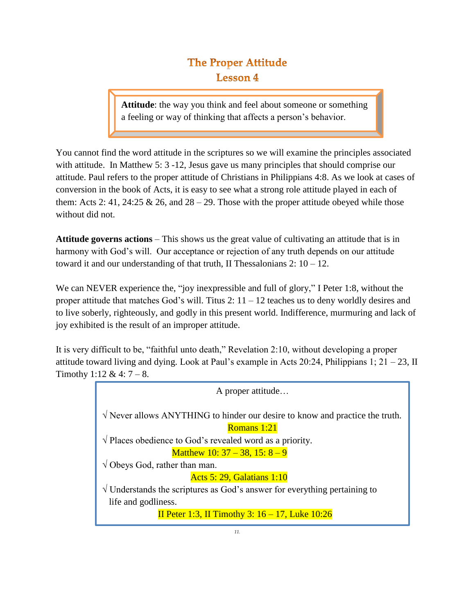# **The Proper Attitude Lesson 4**

**Attitude**: the way you think and feel about someone or something a feeling or way of thinking that affects a person's behavior.

You cannot find the word attitude in the scriptures so we will examine the principles associated with attitude. In Matthew 5: 3 -12, Jesus gave us many principles that should comprise our attitude. Paul refers to the proper attitude of Christians in Philippians 4:8. As we look at cases of conversion in the book of Acts, it is easy to see what a strong role attitude played in each of them: Acts 2: 41, 24:25 & 26, and  $28 - 29$ . Those with the proper attitude obeyed while those without did not.

**Attitude governs actions** – This shows us the great value of cultivating an attitude that is in harmony with God's will. Our acceptance or rejection of any truth depends on our attitude toward it and our understanding of that truth, II Thessalonians  $2: 10 - 12$ .

We can NEVER experience the, "joy inexpressible and full of glory," I Peter 1:8, without the proper attitude that matches God's will. Titus 2:  $11 - 12$  teaches us to deny worldly desires and to live soberly, righteously, and godly in this present world. Indifference, murmuring and lack of joy exhibited is the result of an improper attitude.

It is very difficult to be, "faithful unto death," Revelation 2:10, without developing a proper attitude toward living and dying. Look at Paul's example in Acts 20:24, Philippians 1;  $21 - 23$ , II Timothy 1:12 & 4:  $7 - 8$ .

> A proper attitude… √ Never allows ANYTHING to hinder our desire to know and practice the truth. Romans 1:21 √ Places obedience to God's revealed word as a priority. Matthew 10:  $37 - 38$ ,  $15: 8 - 9$  $\sqrt{\text{Obeys God}}$ , rather than man. Acts 5: 29, Galatians 1:10 √ Understands the scriptures as God's answer for everything pertaining to life and godliness. II Peter 1:3, II Timothy 3: 16 – 17, Luke 10:26